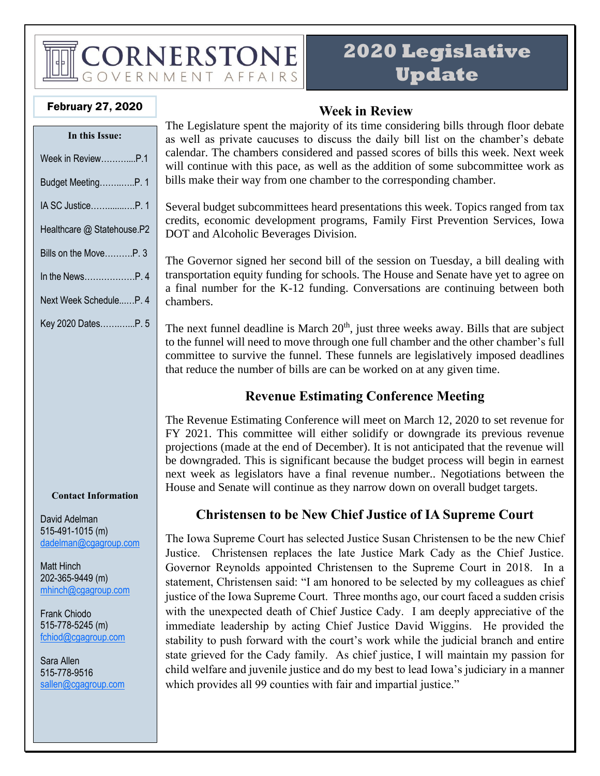## CORNERSTONE OVERNMENT AFFAIRS

## **2020 Legislative Update**

#### February 27, 2020

| In this Issue:             |
|----------------------------|
| Week in Review………….P.1     |
| Budget MeetingP. 1         |
| IA SC Justice……P. 1        |
| Healthcare @ Statehouse.P2 |
| Bills on the MoveP. 3      |
| In the NewsP. 4            |
| Next Week ScheduleP. 4     |
| Key 2020 DatesP. 5         |
|                            |
|                            |
|                            |
|                            |
|                            |

#### **Contact Information**

David Adelman 515-491-1015 (m) [dadelman@cgagroup.com](mailto:dadelman@cgagroup.com)

Matt Hinch 202-365-9449 (m) [mhinch@cgagroup.com](mailto:mhinch@cgagroup.com)

Frank Chiodo 515-778-5245 (m) [fchiod@cgagroup.com](mailto:fchiod@cgagroup.com)

Sara Allen 515-778-9516 [sallen@cgagroup.com](mailto:sallen@cgagroup.com)

### **Week in Review**

The Legislature spent the majority of its time considering bills through floor debate as well as private caucuses to discuss the daily bill list on the chamber's debate calendar. The chambers considered and passed scores of bills this week. Next week will continue with this pace, as well as the addition of some subcommittee work as bills make their way from one chamber to the corresponding chamber.

Several budget subcommittees heard presentations this week. Topics ranged from tax credits, economic development programs, Family First Prevention Services, Iowa DOT and Alcoholic Beverages Division.

The Governor signed her second bill of the session on Tuesday, a bill dealing with transportation equity funding for schools. The House and Senate have yet to agree on a final number for the K-12 funding. Conversations are continuing between both chambers.

The next funnel deadline is March  $20<sup>th</sup>$ , just three weeks away. Bills that are subject to the funnel will need to move through one full chamber and the other chamber's full committee to survive the funnel. These funnels are legislatively imposed deadlines that reduce the number of bills are can be worked on at any given time.

## **Revenue Estimating Conference Meeting**

The Revenue Estimating Conference will meet on March 12, 2020 to set revenue for FY 2021. This committee will either solidify or downgrade its previous revenue projections (made at the end of December). It is not anticipated that the revenue will be downgraded. This is significant because the budget process will begin in earnest next week as legislators have a final revenue number.. Negotiations between the House and Senate will continue as they narrow down on overall budget targets.

## **Christensen to be New Chief Justice of IA Supreme Court**

The Iowa Supreme Court has selected Justice Susan Christensen to be the new Chief Justice. Christensen replaces the late Justice Mark Cady as the Chief Justice. Governor Reynolds appointed Christensen to the Supreme Court in 2018. In a statement, Christensen said: "I am honored to be selected by my colleagues as chief justice of the Iowa Supreme Court. Three months ago, our court faced a sudden crisis with the unexpected death of Chief Justice Cady. I am deeply appreciative of the immediate leadership by acting Chief Justice David Wiggins. He provided the stability to push forward with the court's work while the judicial branch and entire state grieved for the Cady family. As chief justice, I will maintain my passion for child welfare and juvenile justice and do my best to lead Iowa's judiciary in a manner which provides all 99 counties with fair and impartial justice."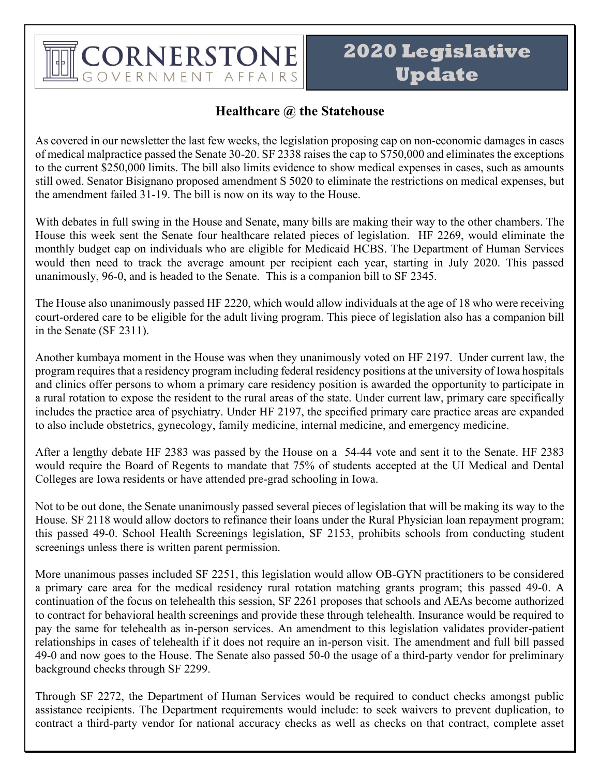## CORNERSTONE **GOVERNMENT AFFAIRS**

## **2020 Legislative Update**

#### **Healthcare @ the Statehouse**

As covered in our newsletter the last few weeks, the legislation proposing cap on non-economic damages in cases of medical malpractice passed the Senate 30-20. SF 2338 raises the cap to \$750,000 and eliminates the exceptions to the current \$250,000 limits. The bill also limits evidence to show medical expenses in cases, such as amounts still owed. Senator Bisignano proposed amendment S 5020 to eliminate the restrictions on medical expenses, but the amendment failed 31-19. The bill is now on its way to the House.

With debates in full swing in the House and Senate, many bills are making their way to the other chambers. The House this week sent the Senate four healthcare related pieces of legislation. HF 2269, would eliminate the monthly budget cap on individuals who are eligible for Medicaid HCBS. The Department of Human Services would then need to track the average amount per recipient each year, starting in July 2020. This passed unanimously, 96-0, and is headed to the Senate. This is a companion bill to SF 2345.

The House also unanimously passed HF 2220, which would allow individuals at the age of 18 who were receiving court-ordered care to be eligible for the adult living program. This piece of legislation also has a companion bill in the Senate (SF 2311).

Another kumbaya moment in the House was when they unanimously voted on HF 2197. Under current law, the program requires that a residency program including federal residency positions at the university of Iowa hospitals and clinics offer persons to whom a primary care residency position is awarded the opportunity to participate in a rural rotation to expose the resident to the rural areas of the state. Under current law, primary care specifically includes the practice area of psychiatry. Under HF 2197, the specified primary care practice areas are expanded to also include obstetrics, gynecology, family medicine, internal medicine, and emergency medicine.

After a lengthy debate HF 2383 was passed by the House on a 54-44 vote and sent it to the Senate. HF 2383 would require the Board of Regents to mandate that 75% of students accepted at the UI Medical and Dental Colleges are Iowa residents or have attended pre-grad schooling in Iowa.

Not to be out done, the Senate unanimously passed several pieces of legislation that will be making its way to the House. SF 2118 would allow doctors to refinance their loans under the Rural Physician loan repayment program; this passed 49-0. School Health Screenings legislation, SF 2153, prohibits schools from conducting student screenings unless there is written parent permission.

More unanimous passes included SF 2251, this legislation would allow OB-GYN practitioners to be considered a primary care area for the medical residency rural rotation matching grants program; this passed 49-0. A continuation of the focus on telehealth this session, SF 2261 proposes that schools and AEAs become authorized to contract for behavioral health screenings and provide these through telehealth. Insurance would be required to pay the same for telehealth as in-person services. An amendment to this legislation validates provider-patient relationships in cases of telehealth if it does not require an in-person visit. The amendment and full bill passed 49-0 and now goes to the House. The Senate also passed 50-0 the usage of a third-party vendor for preliminary background checks through SF 2299.

Through SF 2272, the Department of Human Services would be required to conduct checks amongst public assistance recipients. The Department requirements would include: to seek waivers to prevent duplication, to contract a third-party vendor for national accuracy checks as well as checks on that contract, complete asset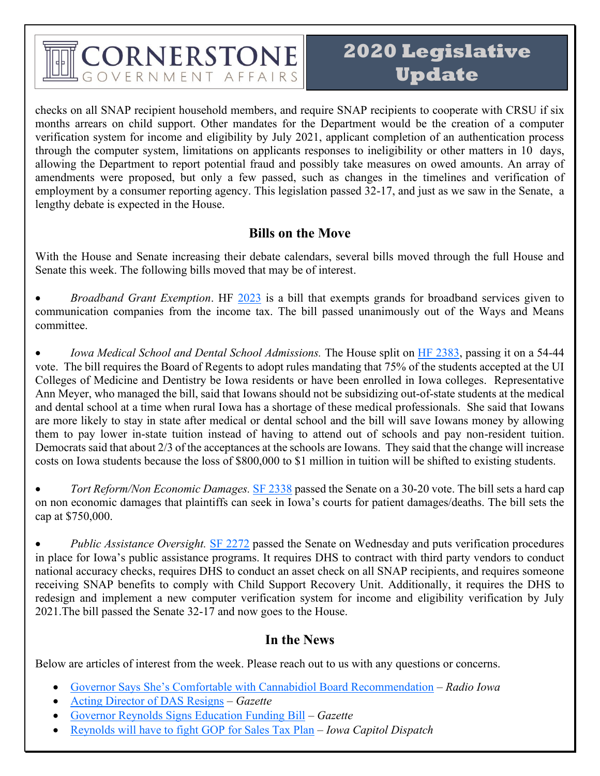## CORNERSTONE OVERNMENT AFFAIRS

checks on all SNAP recipient household members, and require SNAP recipients to cooperate with CRSU if six months arrears on child support. Other mandates for the Department would be the creation of a computer verification system for income and eligibility by July 2021, applicant completion of an authentication process through the computer system, limitations on applicants responses to ineligibility or other matters in 10 days, allowing the Department to report potential fraud and possibly take measures on owed amounts. An array of amendments were proposed, but only a few passed, such as changes in the timelines and verification of employment by a consumer reporting agency. This legislation passed 32-17, and just as we saw in the Senate, a lengthy debate is expected in the House.

#### **Bills on the Move**

With the House and Senate increasing their debate calendars, several bills moved through the full House and Senate this week. The following bills moved that may be of interest.

• *Broadband Grant Exemption*. HF [2023](https://www.legis.iowa.gov/legislation/BillBook?ba=HF2023&ga=88) is a bill that exempts grands for broadband services given to communication companies from the income tax. The bill passed unanimously out of the Ways and Means committee.

*Iowa Medical School and Dental School Admissions.* The House split on [HF 2383,](https://www.legis.iowa.gov/legislation/BillBook?ga=88&ba=hf2383) passing it on a 54-44 vote. The bill requires the Board of Regents to adopt rules mandating that 75% of the students accepted at the UI Colleges of Medicine and Dentistry be Iowa residents or have been enrolled in Iowa colleges. Representative Ann Meyer, who managed the bill, said that Iowans should not be subsidizing out-of-state students at the medical and dental school at a time when rural Iowa has a shortage of these medical professionals. She said that Iowans are more likely to stay in state after medical or dental school and the bill will save Iowans money by allowing them to pay lower in-state tuition instead of having to attend out of schools and pay non-resident tuition. Democrats said that about 2/3 of the acceptances at the schools are Iowans. They said that the change will increase costs on Iowa students because the loss of \$800,000 to \$1 million in tuition will be shifted to existing students.

• *Tort Reform/Non Economic Damages.* [SF 2338](https://www.legis.iowa.gov/legislation/BillBook?ga=88&ba=sf2338) passed the Senate on a 30-20 vote. The bill sets a hard cap on non economic damages that plaintiffs can seek in Iowa's courts for patient damages/deaths. The bill sets the cap at \$750,000.

• *Public Assistance Oversight.* [SF 2272](https://www.legis.iowa.gov/legislation/BillBook?ga=88&ba=sf2272) passed the Senate on Wednesday and puts verification procedures in place for Iowa's public assistance programs. It requires DHS to contract with third party vendors to conduct national accuracy checks, requires DHS to conduct an asset check on all SNAP recipients, and requires someone receiving SNAP benefits to comply with Child Support Recovery Unit. Additionally, it requires the DHS to redesign and implement a new computer verification system for income and eligibility verification by July 2021.The bill passed the Senate 32-17 and now goes to the House.

#### **In the News**

Below are articles of interest from the week. Please reach out to us with any questions or concerns.

- [Governor Says She's Comfortable with Cannabidiol Board Recommendation](https://www.radioiowa.com/2020/02/21/reynolds-says-shes-comfortable-with-board-recs-on-medical-marijuana/) *Radio Iowa*
- [Acting Director of DAS Resigns](https://www.thegazette.com/subject/news/government/jim-kurtenbach-resigns-as-iowa-department-of-administrative-services-director-20200224) *Gazette*
- [Governor Reynolds Signs Education Funding Bill](https://www.thegazette.com/subject/news/government/gov-kim-reynolds-signs-education-funding-bill-rural-transportation-20200225) *Gazette*
- [Reynolds will have to fight GOP for Sales Tax Plan](https://iowacapitaldispatch.com/2020/02/24/reynolds-will-have-to-fight-gop-for-sales-tax-plan/) *Iowa Capitol Dispatch*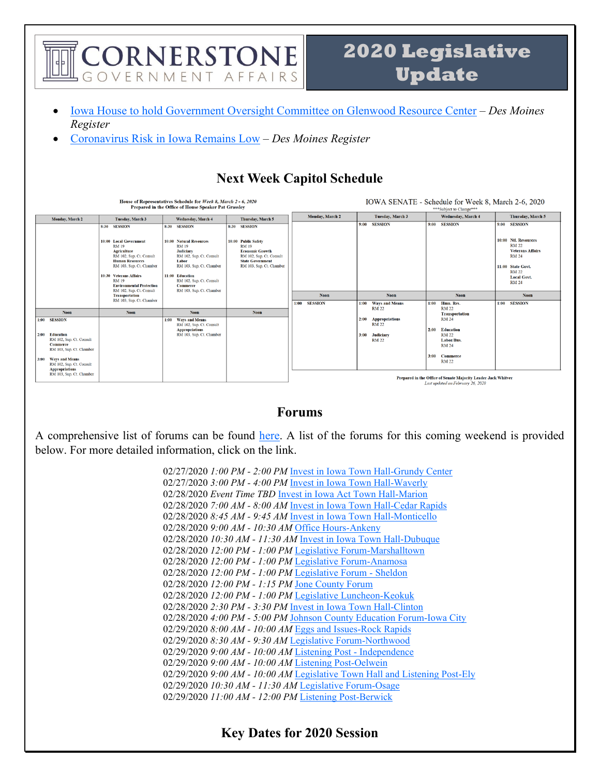

### A comprehensive list of forums can be found [here.](http://www.infonetiowa.org/calendar/events/) A list of the forums for this coming weekend is provided below. For more detailed information, click on the link.

**Forums**

 $1:00$ **SESSION** 

**Noon** 

Noon

 $1:00$ **SESSION** 

 $2:00$ 

Education<br>RM 102, Sup. Ct. Consult

**Commerce**<br>RM 103, Sup. Ct. Chamber

Ways and Means<br>RM 102, Sup. Ct. Consult<br>Appropriations<br>RM 103, Sup. Ct. Chamber

**Noon** 

Ways and Means<br>RM 102, Sup. Ct. Consult<br>Appropriations<br>RM 103, Sup. Ct. Chamber

 $1:00$ 

 $2:00$ 

3:00 **Judiciary** 

Ways and Means<br>RM 22

**Appropriations**<br>RM 22

**RM 22** 

 $1:00$ 

 $2:00$ **Education** 

Hmn. Res. **RM 22** 

**RM 22** 

**RM 24** 3:00 Commerce

**RM 22** Prepared in the Office of Senate Majority Leader Jack Whitver Last updated on February 26, 20

Labor/Bus

**Transportation**<br>RM 24

 $1:00$  SESSION

02/27/2020 *1:00 PM - 2:00 PM* [Invest in Iowa Town Hall-Grundy Center](http://www.infonetiowa.org/calendar/events/event-3755/) 02/27/2020 *3:00 PM - 4:00 PM* [Invest in Iowa Town Hall-Waverly](http://www.infonetiowa.org/calendar/events/event-3756/) 02/28/2020 *Event Time TBD* [Invest in Iowa Act Town Hall-Marion](http://www.infonetiowa.org/calendar/events/event-3728/) 02/28/2020 *7:00 AM - 8:00 AM* [Invest in Iowa Town Hall-Cedar Rapids](http://www.infonetiowa.org/calendar/events/event-3757/) 02/28/2020 *8:45 AM - 9:45 AM* [Invest in Iowa Town Hall-Monticello](http://www.infonetiowa.org/calendar/events/event-3758/) 02/28/2020 *9:00 AM - 10:30 AM* [Office Hours-Ankeny](http://www.infonetiowa.org/calendar/events/event-3481/) 02/28/2020 *10:30 AM - 11:30 AM* [Invest in Iowa Town Hall-Dubuque](http://www.infonetiowa.org/calendar/events/event-3759/) 02/28/2020 *12:00 PM - 1:00 PM* [Legislative Forum-Marshalltown](http://www.infonetiowa.org/calendar/events/event-3593/) 02/28/2020 *12:00 PM - 1:00 PM* [Legislative Forum-Anamosa](http://www.infonetiowa.org/calendar/events/event-3594/) 02/28/2020 *12:00 PM - 1:00 PM* [Legislative Forum -](http://www.infonetiowa.org/calendar/events/event-3684/) Sheldon 02/28/2020 *12:00 PM - 1:15 PM* [Jone County Forum](http://www.infonetiowa.org/calendar/events/event-3641/) 02/28/2020 *12:00 PM - 1:00 PM* [Legislative Luncheon-Keokuk](http://www.infonetiowa.org/calendar/events/event-3482/) 02/28/2020 *2:30 PM - 3:30 PM* [Invest in Iowa Town Hall-Clinton](http://www.infonetiowa.org/calendar/events/event-3760/) 02/28/2020 *4:00 PM - 5:00 PM* [Johnson County Education Forum-Iowa City](http://www.infonetiowa.org/calendar/events/event-3483/) 02/29/2020 *8:00 AM - 10:00 AM* [Eggs and Issues-Rock Rapids](http://www.infonetiowa.org/calendar/events/event-3484/) 02/29/2020 *8:30 AM - 9:30 AM* [Legislative Forum-Northwood](http://www.infonetiowa.org/calendar/events/event-3738/) 02/29/2020 *9:00 AM - 10:00 AM* [Listening Post -](http://www.infonetiowa.org/calendar/events/event-3685/) Independence 02/29/2020 *9:00 AM - 10:00 AM* [Listening Post-Oelwein](http://www.infonetiowa.org/calendar/events/event-3739/) 02/29/2020 *9:00 AM - 10:00 AM* [Legislative Town Hall and Listening Post-Ely](http://www.infonetiowa.org/calendar/events/event-3595/) 02/29/2020 *10:30 AM - 11:30 AM* [Legislative Forum-Osage](http://www.infonetiowa.org/calendar/events/event-3740/) 02/29/2020 *11:00 AM - 12:00 PM* [Listening Post-Berwick](http://www.infonetiowa.org/calendar/events/event-3741/)

**Key Dates for 2020 Session**